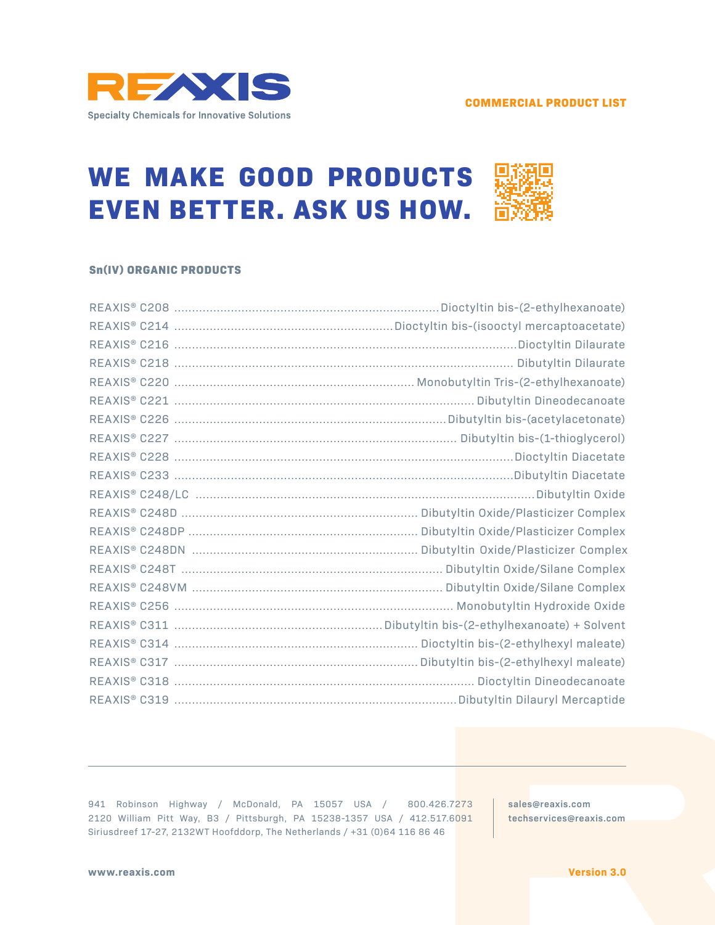

# **WE MAKE GOOD PRODUCTS EVEN BETTER. ASK US HOW.**

#### **Sn(IV) ORGANIC PRODUCTS**

941 Robinson Highway / McDonald, PA 15057 USA / 800.426.7273 2120 William Pitt Way, B3 / Pittsburgh, PA 15238-1357 USA / 412.517.6091 Siriusdreef 17-27, 2132WT Hoofddorp, The Netherlands / +31 (0)64 116 86 46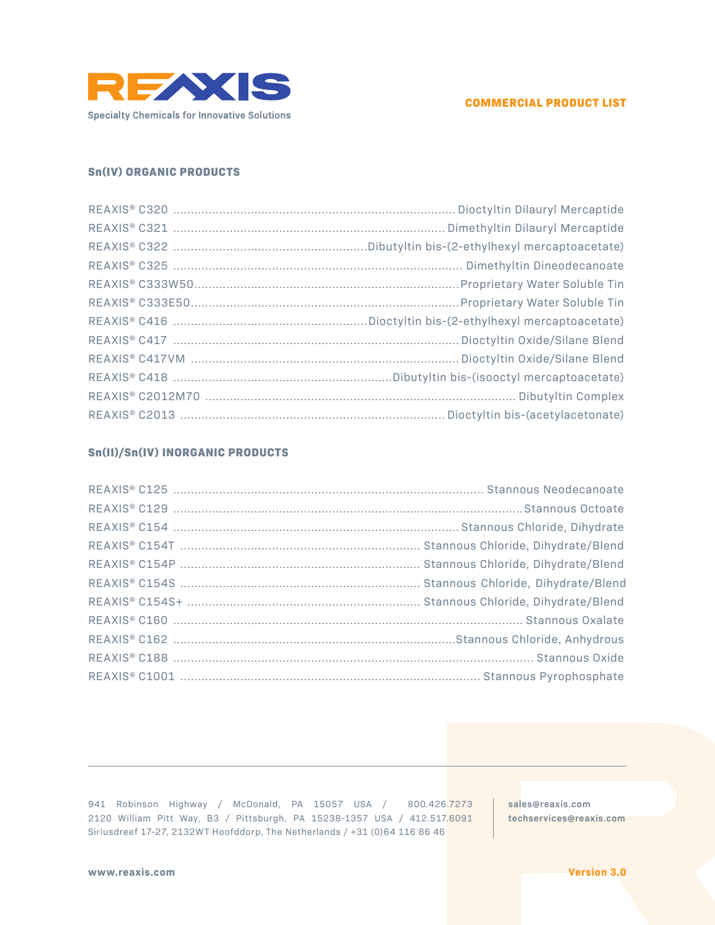



## **Sn(IV) ORGANIC PRODUCTS**

# **Sn(II)/Sn(IV) INORGANIC PRODUCTS**

941 Robinson Highway / McDonald, PA 15057 USA / 800.426.7273 2120 William Pitt Way, B3 / Pittsburgh, PA 15238-1357 USA / 412.517.6091 Siriusdreef 17-27, 2132WT Hoofddorp, The Netherlands / +31 (0)64 116 86 46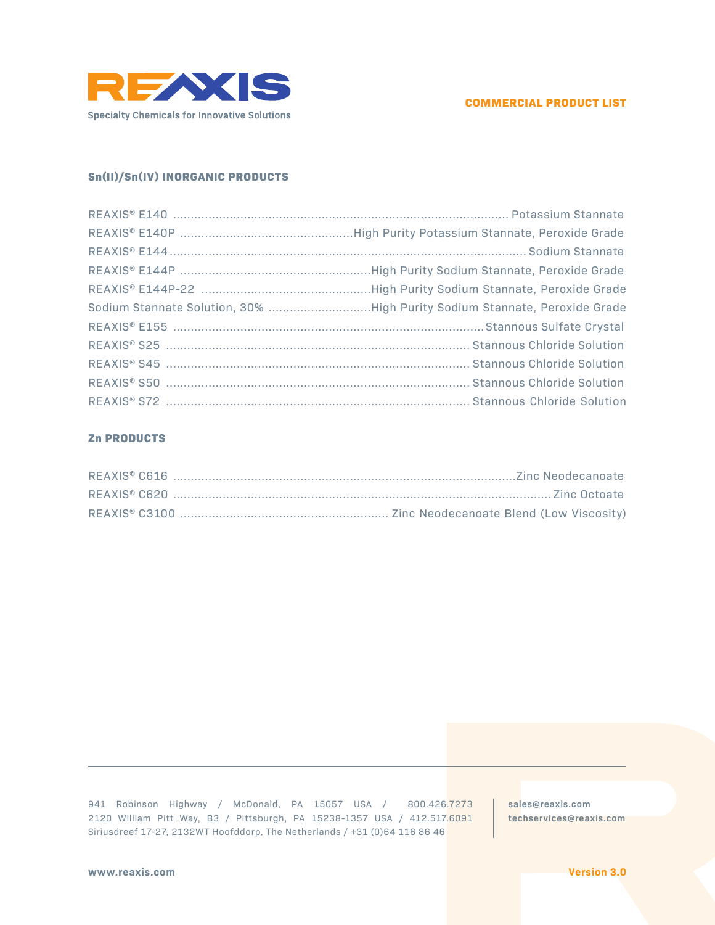

#### **COMMERCIAL PRODUCT LIST**

# **Sn(II)/Sn(IV) INORGANIC PRODUCTS**

## **Zn PRODUCTS**

941 Robinson Highway / McDonald, PA 15057 USA / 800.426.7273 2120 William Pitt Way, B3 / Pittsburgh, PA 15238-1357 USA / 412.517.6091 Siriusdreef 17-27, 2132WT Hoofddorp, The Netherlands / +31 (0)64 116 86 46